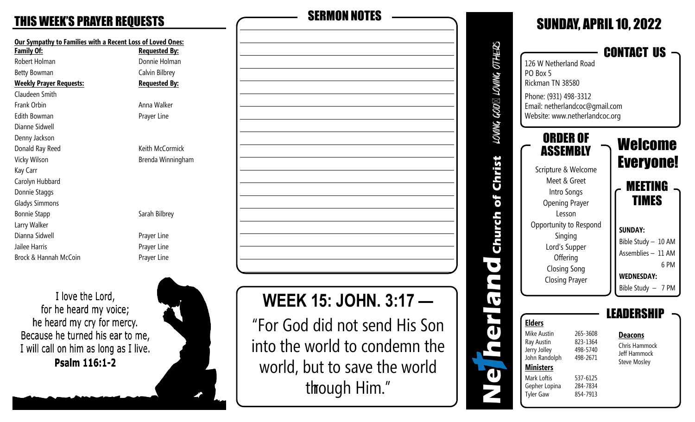| Our Sympathy to Families with a Recent Loss of Loved Ones: |                      |  |  |
|------------------------------------------------------------|----------------------|--|--|
| <b>Family Of:</b>                                          | <b>Requested By:</b> |  |  |
| Robert Holman                                              | Donnie Holman        |  |  |
| Betty Bowman                                               | Calvin Bilbrey       |  |  |
| <b>Weekly Prayer Requests:</b>                             | <b>Requested By:</b> |  |  |
| Claudeen Smith                                             |                      |  |  |
| Frank Orbin                                                | Anna Walker          |  |  |
| <b>Edith Bowman</b>                                        | Prayer Line          |  |  |
| Dianne Sidwell                                             |                      |  |  |
| Denny Jackson                                              |                      |  |  |
| Donald Ray Reed                                            | Keith McCormick      |  |  |
| Vicky Wilson<br>Brenda Winningham                          |                      |  |  |
| Kay Carr                                                   |                      |  |  |
| Carolyn Hubbard                                            |                      |  |  |
| Donnie Staggs                                              |                      |  |  |
| <b>Gladys Simmons</b>                                      |                      |  |  |
| <b>Bonnie Stapp</b>                                        | Sarah Bilbrey        |  |  |
| Larry Walker                                               |                      |  |  |
| Dianna Sidwell                                             | Prayer Line          |  |  |
| Jailee Harris                                              | Prayer Line          |  |  |
| Brock & Hannah McCoin                                      | Prayer Line          |  |  |

I love the Lord, for he heard my voice; he heard my cry for mercy. Because he turned his ear to me, I will call on him as long as I live. Psalm 116:1-2



| <b>THIS WEEK'S PRAYER REQUESTS</b>                         |                      | <b>SERMON NOTES</b> |
|------------------------------------------------------------|----------------------|---------------------|
| Our Sympathy to Families with a Recent Loss of Loved Ones: |                      |                     |
| Family Of:                                                 | <b>Requested By:</b> |                     |
| Robert Holman                                              | Donnie Holman        |                     |
| <b>Betty Bowman</b>                                        | Calvin Bilbrey       |                     |
| <b>Weekly Prayer Requests:</b>                             | <b>Requested By:</b> |                     |
| Claudeen Smith                                             |                      |                     |
| Frank Orbin                                                | Anna Walker          |                     |
| <b>Edith Bowman</b>                                        | Prayer Line          |                     |
| Dianne Sidwell                                             |                      |                     |
| Denny Jackson                                              |                      |                     |
| Donald Ray Reed                                            | Keith McCormick      |                     |
| Vicky Wilson                                               | Brenda Winningham    |                     |
| Kay Carr                                                   |                      |                     |
| Carolyn Hubbard                                            |                      |                     |
| Donnie Staggs                                              |                      |                     |
| <b>Gladys Simmons</b>                                      |                      |                     |
| <b>Bonnie Stapp</b>                                        | Sarah Bilbrey        |                     |
| Larry Walker                                               |                      |                     |
| Dianna Sidwell                                             | Prayer Line          |                     |
| Jailee Harris                                              | Prayer Line          |                     |
| Brock & Hannah McCoin                                      | Prayer Line          |                     |
|                                                            |                      |                     |
| I love the Lord,                                           |                      | MECK 15. IOUN<br>ŋ  |

**WEEK 15: JOHN. 3:17 —** 

"For God did not send His Son into the world to condemn the world, but to save the world through Him."

|                                 |                                           |                                                                  |                     | CONTACT US                    |      |
|---------------------------------|-------------------------------------------|------------------------------------------------------------------|---------------------|-------------------------------|------|
| PO Box 5                        | 126 W Netherland Road<br>Rickman TN 38580 |                                                                  |                     |                               |      |
|                                 | Phone: (931) 498-3312                     | Email: netherlandcoc@gmail.com<br>Website: www.netherlandcoc.org |                     |                               |      |
|                                 | ORDER OF<br><b>ASSEMBLY</b>               |                                                                  |                     | Welcome                       |      |
|                                 |                                           |                                                                  |                     | <b>Everyone!</b>              |      |
|                                 | Scripture & Welcome                       |                                                                  |                     |                               |      |
|                                 | Meet & Greet<br>Intro Songs               |                                                                  |                     | <b>MEETING</b>                |      |
|                                 |                                           |                                                                  |                     | <b>TIMES</b>                  |      |
|                                 | <b>Opening Prayer</b><br>Lesson           |                                                                  |                     |                               |      |
|                                 | Opportunity to Respond                    |                                                                  |                     |                               |      |
|                                 | Singing                                   |                                                                  |                     | <b>SUNDAY:</b>                |      |
| Lord's Supper                   |                                           |                                                                  | Bible Study - 10 AM |                               |      |
|                                 | Offering                                  |                                                                  |                     | Assemblies - 11 AM            | 6 PM |
| <b>Closing Song</b>             |                                           |                                                                  | <b>WEDNESDAY:</b>   |                               |      |
|                                 | <b>Closing Prayer</b>                     |                                                                  |                     | Bible Study - 7 PM            |      |
|                                 |                                           |                                                                  |                     | EADERSHI                      |      |
| <b>Elders</b>                   |                                           |                                                                  |                     |                               |      |
| Mike Austin<br>Ray Austin       |                                           | 265-3608<br>823-1364                                             |                     | <b>Deacons</b>                |      |
| Jerry Jolley                    |                                           | 498-5740                                                         |                     | Chris Hammock<br>Jeff Hammock |      |
| John Randolph                   |                                           | 498-2671                                                         |                     | <b>Steve Mosley</b>           |      |
| <b>Ministers</b><br>Mark Loftis |                                           | 537-6125                                                         |                     |                               |      |
| Gepher Lopina                   |                                           | 284-7834                                                         |                     |                               |      |
| <b>Tyler Gaw</b>                |                                           | 854-7913                                                         |                     |                               |      |
|                                 |                                           |                                                                  |                     |                               |      |

d

SUNDAY, APRIL 10, 2022